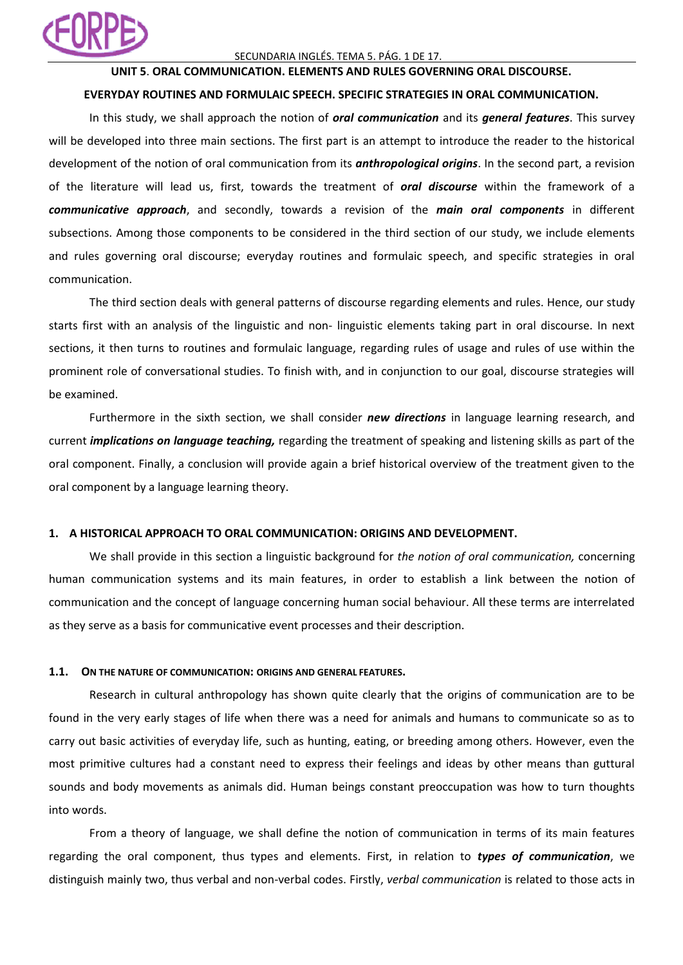

## SECUNDARIA INGLÉS. TEMA 5. PÁG. 1 DE 17.

# **UNIT 5**. **ORAL COMMUNICATION. ELEMENTS AND RULES GOVERNING ORAL DISCOURSE.**

### **EVERYDAY ROUTINES AND FORMULAIC SPEECH. SPECIFIC STRATEGIES IN ORAL COMMUNICATION.**

In this study, we shall approach the notion of *oral communication* and its *general features*. This survey will be developed into three main sections. The first part is an attempt to introduce the reader to the historical development of the notion of oral communication from its *anthropological origins*. In the second part, a revision of the literature will lead us, first, towards the treatment of *oral discourse* within the framework of a *communicative approach*, and secondly, towards a revision of the *main oral components* in different subsections. Among those components to be considered in the third section of our study, we include elements and rules governing oral discourse; everyday routines and formulaic speech, and specific strategies in oral communication.

The third section deals with general patterns of discourse regarding elements and rules. Hence, our study starts first with an analysis of the linguistic and non- linguistic elements taking part in oral discourse. In next sections, it then turns to routines and formulaic language, regarding rules of usage and rules of use within the prominent role of conversational studies. To finish with, and in conjunction to our goal, discourse strategies will be examined.

Furthermore in the sixth section, we shall consider *new directions* in language learning research, and current *implications on language teaching,* regarding the treatment of speaking and listening skills as part of the oral component. Finally, a conclusion will provide again a brief historical overview of the treatment given to the oral component by a language learning theory.

### **1. A HISTORICAL APPROACH TO ORAL COMMUNICATION: ORIGINS AND DEVELOPMENT.**

We shall provide in this section a linguistic background for *the notion of oral communication,* concerning human communication systems and its main features, in order to establish a link between the notion of communication and the concept of language concerning human social behaviour. All these terms are interrelated as they serve as a basis for communicative event processes and their description.

### **1.1. ON THE NATURE OF COMMUNICATION: ORIGINS AND GENERAL FEATURES.**

Research in cultural anthropology has shown quite clearly that the origins of communication are to be found in the very early stages of life when there was a need for animals and humans to communicate so as to carry out basic activities of everyday life, such as hunting, eating, or breeding among others. However, even the most primitive cultures had a constant need to express their feelings and ideas by other means than guttural sounds and body movements as animals did. Human beings constant preoccupation was how to turn thoughts into words.

From a theory of language, we shall define the notion of communication in terms of its main features regarding the oral component, thus types and elements. First, in relation to *types of communication*, we distinguish mainly two, thus verbal and non-verbal codes. Firstly, *verbal communication* is related to those acts in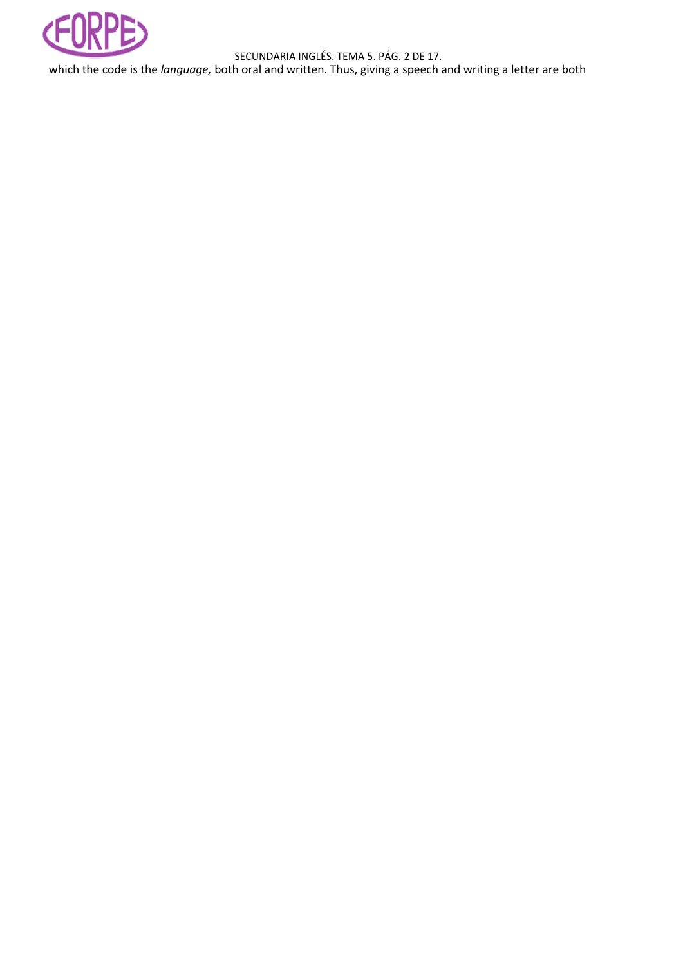

SECUNDARIA INGLÉS. TEMA 5. PÁG. 2 DE 17.

which the code is the *language,* both oral and written. Thus, giving a speech and writing a letter are both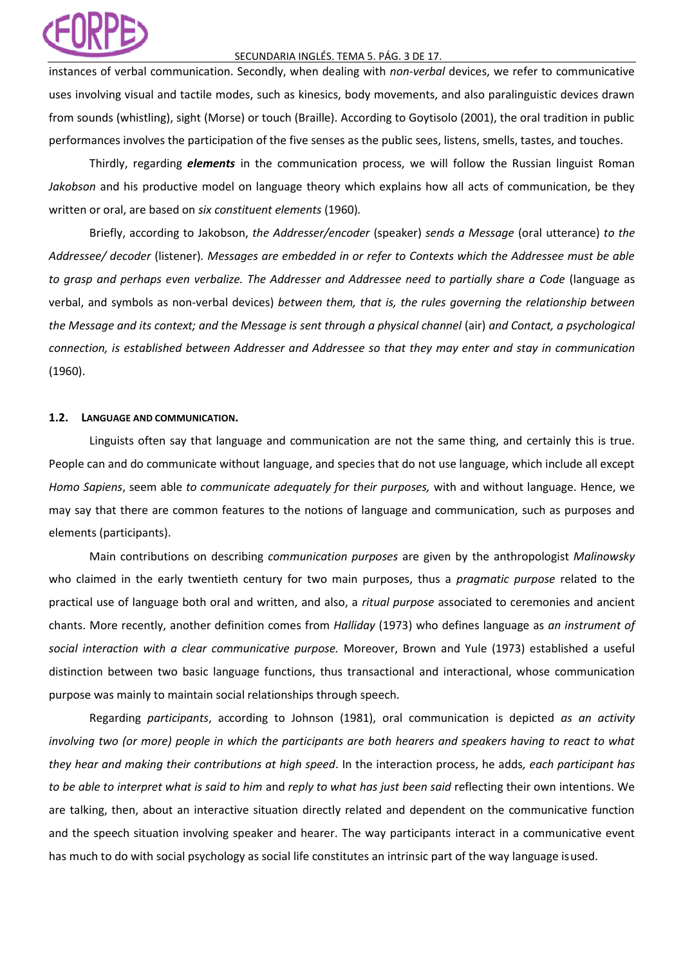### SECUNDARIA INGLÉS. TEMA 5. PÁG. 3 DE 17.

instances of verbal communication. Secondly, when dealing with *non-verbal* devices, we refer to communicative uses involving visual and tactile modes, such as kinesics, body movements, and also paralinguistic devices drawn from sounds (whistling), sight (Morse) or touch (Braille). According to Goytisolo (2001), the oral tradition in public performances involves the participation of the five senses as the public sees, listens, smells, tastes, and touches.

Thirdly, regarding *elements* in the communication process, we will follow the Russian linguist Roman *Jakobson* and his productive model on language theory which explains how all acts of communication, be they written or oral, are based on *six constituent elements* (1960)*.*

Briefly, according to Jakobson, *the Addresser/encoder* (speaker) *sends a Message* (oral utterance) *to the Addressee/ decoder* (listener)*. Messages are embedded in or refer to Contexts which the Addressee must be able to grasp and perhaps even verbalize. The Addresser and Addressee need to partially share a Code* (language as verbal, and symbols as non-verbal devices) *between them, that is, the rules governing the relationship between the Message and its context; and the Message is sent through a physical channel (air) and Contact, a psychological connection, is established between Addresser and Addressee so that they may enter and stay in communication*  (1960).

## **1.2. LANGUAGE AND COMMUNICATION.**

Linguists often say that language and communication are not the same thing, and certainly this is true. People can and do communicate without language, and species that do not use language, which include all except *Homo Sapiens*, seem able *to communicate adequately for their purposes,* with and without language. Hence, we may say that there are common features to the notions of language and communication, such as purposes and elements (participants).

Main contributions on describing *communication purposes* are given by the anthropologist *Malinowsky*  who claimed in the early twentieth century for two main purposes, thus a *pragmatic purpose* related to the practical use of language both oral and written, and also, a *ritual purpose* associated to ceremonies and ancient chants. More recently, another definition comes from *Halliday* (1973) who defines language as *an instrument of social interaction with a clear communicative purpose.* Moreover, Brown and Yule (1973) established a useful distinction between two basic language functions, thus transactional and interactional, whose communication purpose was mainly to maintain social relationships through speech.

Regarding *participants*, according to Johnson (1981), oral communication is depicted *as an activity*  involving two (or more) people in which the participants are both hearers and speakers having to react to what *they hear and making their contributions at high speed*. In the interaction process, he adds*, each participant has to be able to interpret what is said to him* and *reply to what has just been said* reflecting their own intentions. We are talking, then, about an interactive situation directly related and dependent on the communicative function and the speech situation involving speaker and hearer. The way participants interact in a communicative event has much to do with social psychology as social life constitutes an intrinsic part of the way language isused.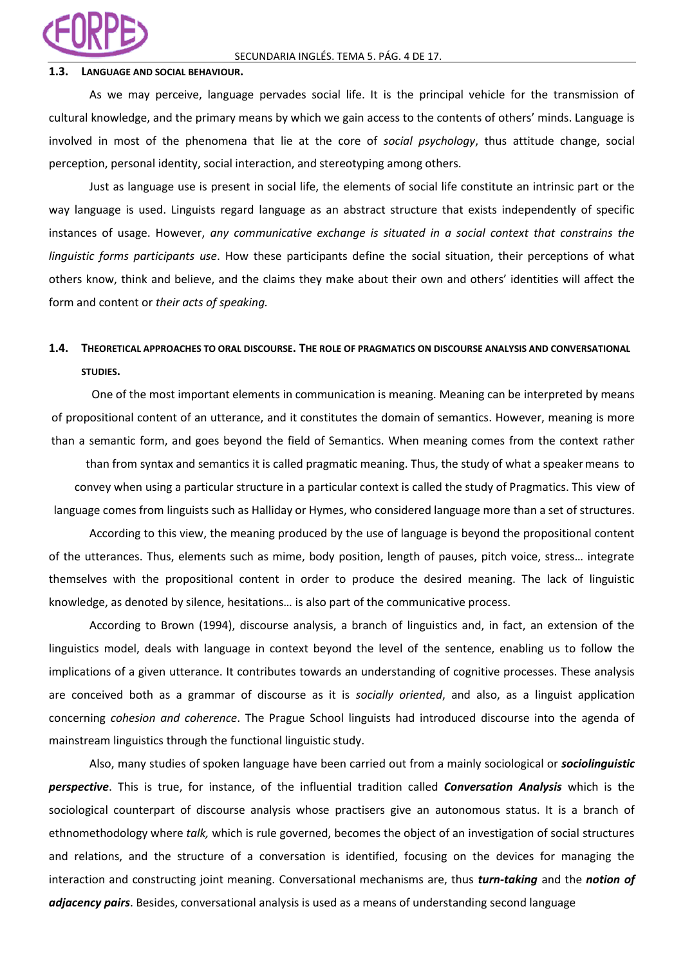

### **1.3. LANGUAGE AND SOCIAL BEHAVIOUR.**

As we may perceive, language pervades social life. It is the principal vehicle for the transmission of cultural knowledge, and the primary means by which we gain access to the contents of others' minds. Language is involved in most of the phenomena that lie at the core of *social psychology*, thus attitude change, social perception, personal identity, social interaction, and stereotyping among others.

Just as language use is present in social life, the elements of social life constitute an intrinsic part or the way language is used. Linguists regard language as an abstract structure that exists independently of specific instances of usage. However, *any communicative exchange is situated in a social context that constrains the linguistic forms participants use*. How these participants define the social situation, their perceptions of what others know, think and believe, and the claims they make about their own and others' identities will affect the form and content or *their acts of speaking.*

# **1.4. THEORETICAL APPROACHES TO ORAL DISCOURSE. THE ROLE OF PRAGMATICS ON DISCOURSE ANALYSIS AND CONVERSATIONAL STUDIES.**

One of the most important elements in communication is meaning. Meaning can be interpreted by means of propositional content of an utterance, and it constitutes the domain of semantics. However, meaning is more than a semantic form, and goes beyond the field of Semantics. When meaning comes from the context rather

than from syntax and semantics it is called pragmatic meaning. Thus, the study of what a speakermeans to convey when using a particular structure in a particular context is called the study of Pragmatics. This view of language comes from linguists such as Halliday or Hymes, who considered language more than a set of structures.

According to this view, the meaning produced by the use of language is beyond the propositional content of the utterances. Thus, elements such as mime, body position, length of pauses, pitch voice, stress… integrate themselves with the propositional content in order to produce the desired meaning. The lack of linguistic knowledge, as denoted by silence, hesitations… is also part of the communicative process.

According to Brown (1994), discourse analysis, a branch of linguistics and, in fact, an extension of the linguistics model, deals with language in context beyond the level of the sentence, enabling us to follow the implications of a given utterance. It contributes towards an understanding of cognitive processes. These analysis are conceived both as a grammar of discourse as it is *socially oriented*, and also, as a linguist application concerning *cohesion and coherence*. The Prague School linguists had introduced discourse into the agenda of mainstream linguistics through the functional linguistic study.

Also, many studies of spoken language have been carried out from a mainly sociological or *sociolinguistic perspective*. This is true, for instance, of the influential tradition called *Conversation Analysis* which is the sociological counterpart of discourse analysis whose practisers give an autonomous status. It is a branch of ethnomethodology where *talk,* which is rule governed, becomes the object of an investigation of social structures and relations, and the structure of a conversation is identified, focusing on the devices for managing the interaction and constructing joint meaning. Conversational mechanisms are, thus *turn-taking* and the *notion of adjacency pairs*. Besides, conversational analysis is used as a means of understanding second language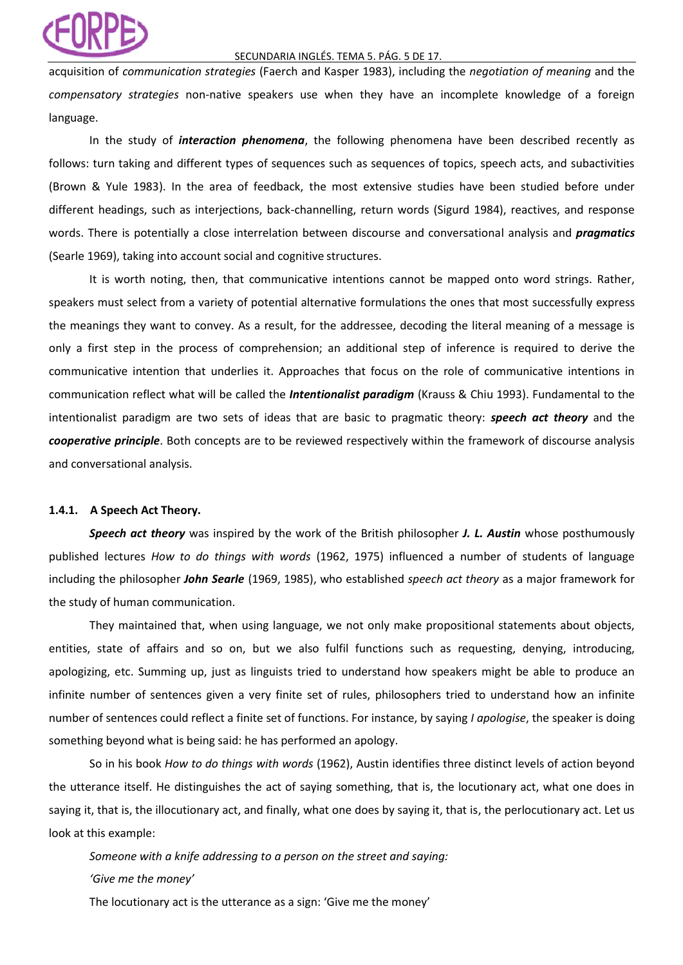### SECUNDARIA INGLÉS. TEMA 5. PÁG. 5 DE 17.

acquisition of *communication strategies* (Faerch and Kasper 1983), including the *negotiation of meaning* and the *compensatory strategies* non-native speakers use when they have an incomplete knowledge of a foreign language.

In the study of *interaction phenomena*, the following phenomena have been described recently as follows: turn taking and different types of sequences such as sequences of topics, speech acts, and subactivities (Brown & Yule 1983). In the area of feedback, the most extensive studies have been studied before under different headings, such as interjections, back-channelling, return words (Sigurd 1984), reactives, and response words. There is potentially a close interrelation between discourse and conversational analysis and *pragmatics*  (Searle 1969), taking into account social and cognitive structures.

It is worth noting, then, that communicative intentions cannot be mapped onto word strings. Rather, speakers must select from a variety of potential alternative formulations the ones that most successfully express the meanings they want to convey. As a result, for the addressee, decoding the literal meaning of a message is only a first step in the process of comprehension; an additional step of inference is required to derive the communicative intention that underlies it. Approaches that focus on the role of communicative intentions in communication reflect what will be called the *Intentionalist paradigm* (Krauss & Chiu 1993). Fundamental to the intentionalist paradigm are two sets of ideas that are basic to pragmatic theory: *speech act theory* and the *cooperative principle*. Both concepts are to be reviewed respectively within the framework of discourse analysis and conversational analysis.

# **1.4.1. A Speech Act Theory.**

*Speech act theory* was inspired by the work of the British philosopher *J. L. Austin* whose posthumously published lectures *How to do things with words* (1962, 1975) influenced a number of students of language including the philosopher *John Searle* (1969, 1985), who established *speech act theory* as a major framework for the study of human communication.

They maintained that, when using language, we not only make propositional statements about objects, entities, state of affairs and so on, but we also fulfil functions such as requesting, denying, introducing, apologizing, etc. Summing up, just as linguists tried to understand how speakers might be able to produce an infinite number of sentences given a very finite set of rules, philosophers tried to understand how an infinite number of sentences could reflect a finite set of functions. For instance, by saying *I apologise*, the speaker is doing something beyond what is being said: he has performed an apology.

So in his book *How to do things with words* (1962), Austin identifies three distinct levels of action beyond the utterance itself. He distinguishes the act of saying something, that is, the locutionary act, what one does in saying it, that is, the illocutionary act, and finally, what one does by saying it, that is, the perlocutionary act. Let us look at this example:

*Someone with a knife addressing to a person on the street and saying: 'Give me the money'*

The locutionary act is the utterance as a sign: 'Give me the money'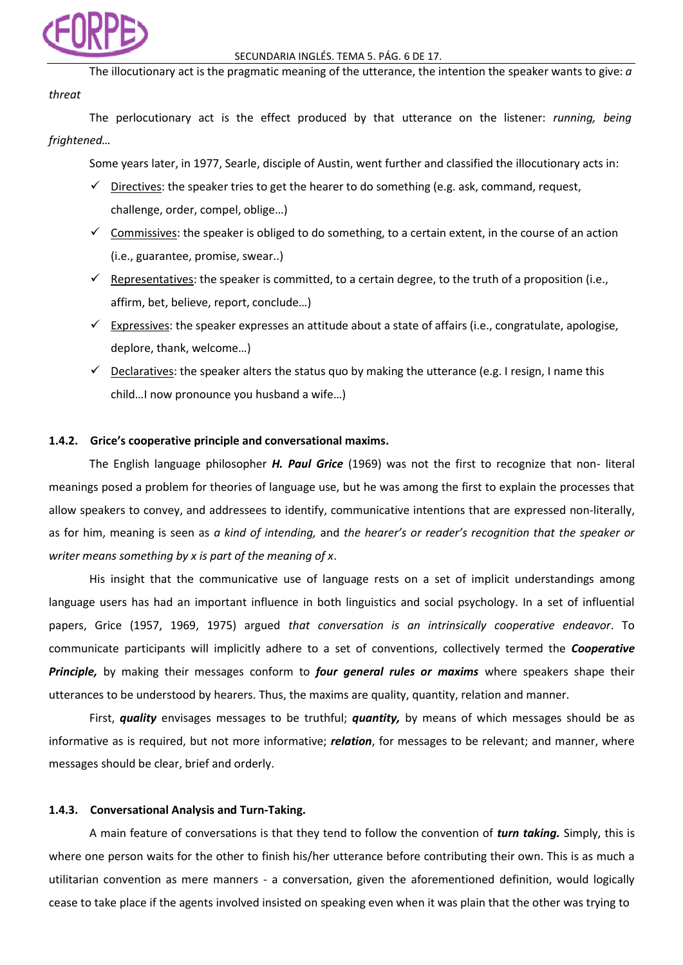

*threat* The illocutionary act is the pragmatic meaning of the utterance, the intention the speaker wants to give: *a*

The perlocutionary act is the effect produced by that utterance on the listener: *running, being frightened…*

Some years later, in 1977, Searle, disciple of Austin, went further and classified the illocutionary acts in:

- $\checkmark$  Directives: the speaker tries to get the hearer to do something (e.g. ask, command, request, challenge, order, compel, oblige…)
- $\checkmark$  Commissives: the speaker is obliged to do something, to a certain extent, in the course of an action (i.e., guarantee, promise, swear..)
- $\checkmark$  Representatives: the speaker is committed, to a certain degree, to the truth of a proposition (i.e., affirm, bet, believe, report, conclude…)
- $\checkmark$  Expressives: the speaker expresses an attitude about a state of affairs (i.e., congratulate, apologise, deplore, thank, welcome…)
- $\checkmark$  Declaratives: the speaker alters the status quo by making the utterance (e.g. I resign, I name this child…I now pronounce you husband a wife…)

## **1.4.2. Grice's cooperative principle and conversational maxims.**

The English language philosopher *H. Paul Grice* (1969) was not the first to recognize that non- literal meanings posed a problem for theories of language use, but he was among the first to explain the processes that allow speakers to convey, and addressees to identify, communicative intentions that are expressed non-literally, as for him, meaning is seen as *a kind of intending,* and *the hearer's or reader's recognition that the speaker or writer means something by x is part of the meaning of x*.

His insight that the communicative use of language rests on a set of implicit understandings among language users has had an important influence in both linguistics and social psychology. In a set of influential papers, Grice (1957, 1969, 1975) argued *that conversation is an intrinsically cooperative endeavor*. To communicate participants will implicitly adhere to a set of conventions, collectively termed the *Cooperative Principle,* by making their messages conform to *four general rules or maxims* where speakers shape their utterances to be understood by hearers. Thus, the maxims are quality, quantity, relation and manner.

First, *quality* envisages messages to be truthful; *quantity,* by means of which messages should be as informative as is required, but not more informative; *relation*, for messages to be relevant; and manner, where messages should be clear, brief and orderly.

### **1.4.3. Conversational Analysis and Turn-Taking.**

A main feature of conversations is that they tend to follow the convention of *turn taking.* Simply, this is where one person waits for the other to finish his/her utterance before contributing their own. This is as much a utilitarian convention as mere manners - a conversation, given the aforementioned definition, would logically cease to take place if the agents involved insisted on speaking even when it was plain that the other was trying to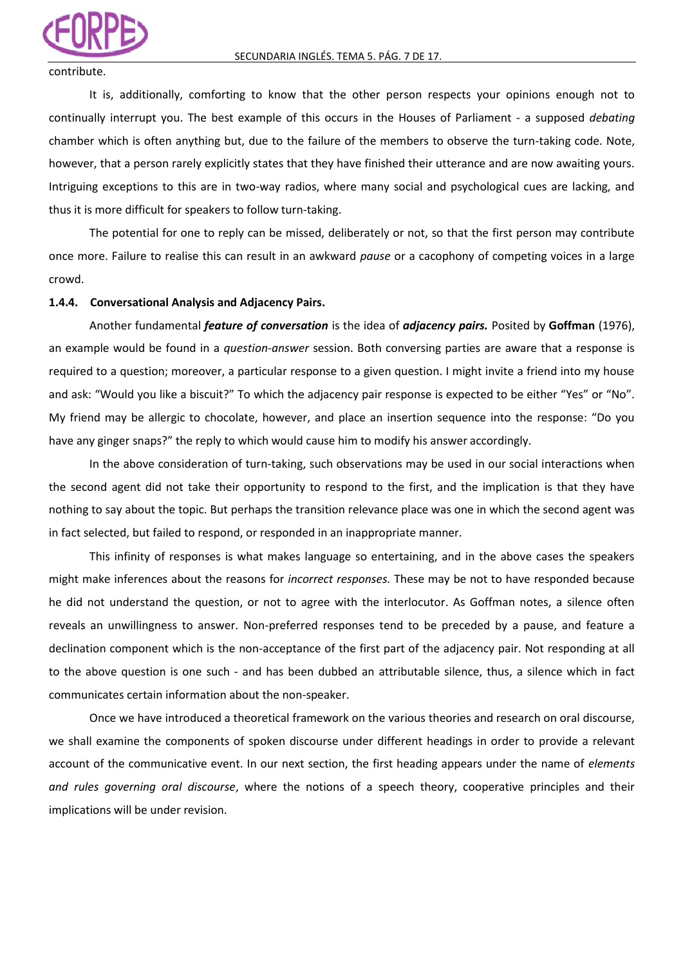

### contribute.

It is, additionally, comforting to know that the other person respects your opinions enough not to continually interrupt you. The best example of this occurs in the Houses of Parliament - a supposed *debating*  chamber which is often anything but, due to the failure of the members to observe the turn-taking code. Note, however, that a person rarely explicitly states that they have finished their utterance and are now awaiting yours. Intriguing exceptions to this are in two-way radios, where many social and psychological cues are lacking, and thus it is more difficult for speakers to follow turn-taking.

The potential for one to reply can be missed, deliberately or not, so that the first person may contribute once more. Failure to realise this can result in an awkward *pause* or a cacophony of competing voices in a large crowd.

### **1.4.4. Conversational Analysis and Adjacency Pairs.**

Another fundamental *feature of conversation* is the idea of *adjacency pairs.* Posited by **Goffman** (1976), an example would be found in a *question-answer* session. Both conversing parties are aware that a response is required to a question; moreover, a particular response to a given question. I might invite a friend into my house and ask: "Would you like a biscuit?" To which the adjacency pair response is expected to be either "Yes" or "No". My friend may be allergic to chocolate, however, and place an insertion sequence into the response: "Do you have any ginger snaps?" the reply to which would cause him to modify his answer accordingly.

In the above consideration of turn-taking, such observations may be used in our social interactions when the second agent did not take their opportunity to respond to the first, and the implication is that they have nothing to say about the topic. But perhaps the transition relevance place was one in which the second agent was in fact selected, but failed to respond, or responded in an inappropriate manner.

This infinity of responses is what makes language so entertaining, and in the above cases the speakers might make inferences about the reasons for *incorrect responses.* These may be not to have responded because he did not understand the question, or not to agree with the interlocutor. As Goffman notes, a silence often reveals an unwillingness to answer. Non-preferred responses tend to be preceded by a pause, and feature a declination component which is the non-acceptance of the first part of the adjacency pair. Not responding at all to the above question is one such - and has been dubbed an attributable silence, thus, a silence which in fact communicates certain information about the non-speaker.

Once we have introduced a theoretical framework on the various theories and research on oral discourse, we shall examine the components of spoken discourse under different headings in order to provide a relevant account of the communicative event. In our next section, the first heading appears under the name of *elements and rules governing oral discourse*, where the notions of a speech theory, cooperative principles and their implications will be under revision.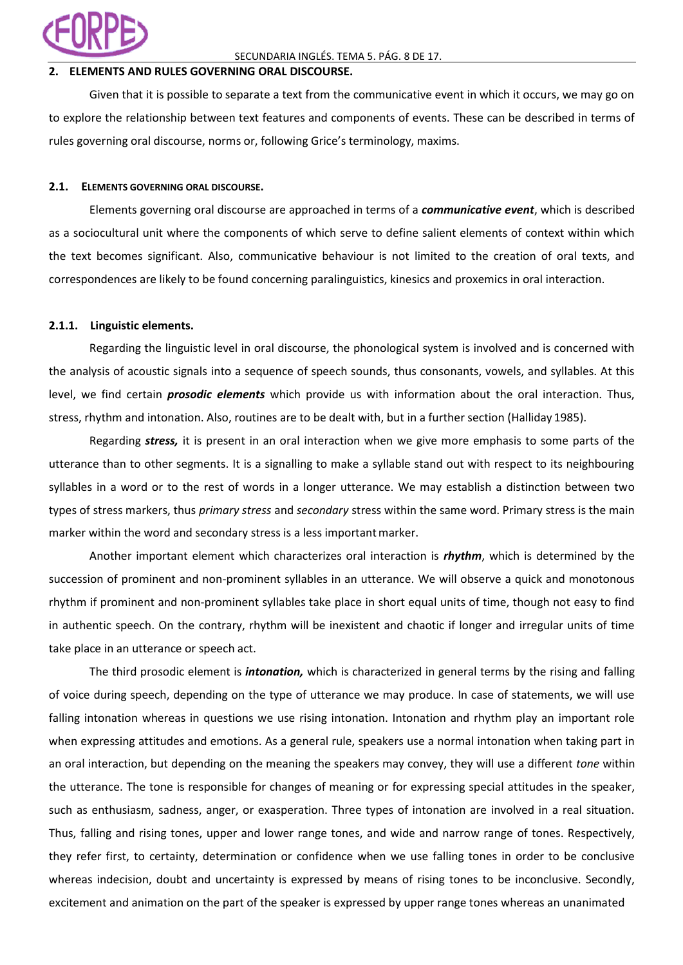

## SECUNDARIA INGLÉS. TEMA 5. PÁG. 8 DE 17.

## **2. ELEMENTS AND RULES GOVERNING ORAL DISCOURSE.**

Given that it is possible to separate a text from the communicative event in which it occurs, we may go on to explore the relationship between text features and components of events. These can be described in terms of rules governing oral discourse, norms or, following Grice's terminology, maxims.

### **2.1. ELEMENTS GOVERNING ORAL DISCOURSE.**

Elements governing oral discourse are approached in terms of a *communicative event*, which is described as a sociocultural unit where the components of which serve to define salient elements of context within which the text becomes significant. Also, communicative behaviour is not limited to the creation of oral texts, and correspondences are likely to be found concerning paralinguistics, kinesics and proxemics in oral interaction.

### **2.1.1. Linguistic elements.**

Regarding the linguistic level in oral discourse, the phonological system is involved and is concerned with the analysis of acoustic signals into a sequence of speech sounds, thus consonants, vowels, and syllables. At this level, we find certain *prosodic elements* which provide us with information about the oral interaction. Thus, stress, rhythm and intonation. Also, routines are to be dealt with, but in a further section (Halliday 1985).

Regarding *stress,* it is present in an oral interaction when we give more emphasis to some parts of the utterance than to other segments. It is a signalling to make a syllable stand out with respect to its neighbouring syllables in a word or to the rest of words in a longer utterance. We may establish a distinction between two types of stress markers, thus *primary stress* and *secondary* stress within the same word. Primary stress is the main marker within the word and secondary stress is a less important marker.

Another important element which characterizes oral interaction is *rhythm*, which is determined by the succession of prominent and non-prominent syllables in an utterance. We will observe a quick and monotonous rhythm if prominent and non-prominent syllables take place in short equal units of time, though not easy to find in authentic speech. On the contrary, rhythm will be inexistent and chaotic if longer and irregular units of time take place in an utterance or speech act.

The third prosodic element is *intonation,* which is characterized in general terms by the rising and falling of voice during speech, depending on the type of utterance we may produce. In case of statements, we will use falling intonation whereas in questions we use rising intonation. Intonation and rhythm play an important role when expressing attitudes and emotions. As a general rule, speakers use a normal intonation when taking part in an oral interaction, but depending on the meaning the speakers may convey, they will use a different *tone* within the utterance. The tone is responsible for changes of meaning or for expressing special attitudes in the speaker, such as enthusiasm, sadness, anger, or exasperation. Three types of intonation are involved in a real situation. Thus, falling and rising tones, upper and lower range tones, and wide and narrow range of tones. Respectively, they refer first, to certainty, determination or confidence when we use falling tones in order to be conclusive whereas indecision, doubt and uncertainty is expressed by means of rising tones to be inconclusive. Secondly, excitement and animation on the part of the speaker is expressed by upper range tones whereas an unanimated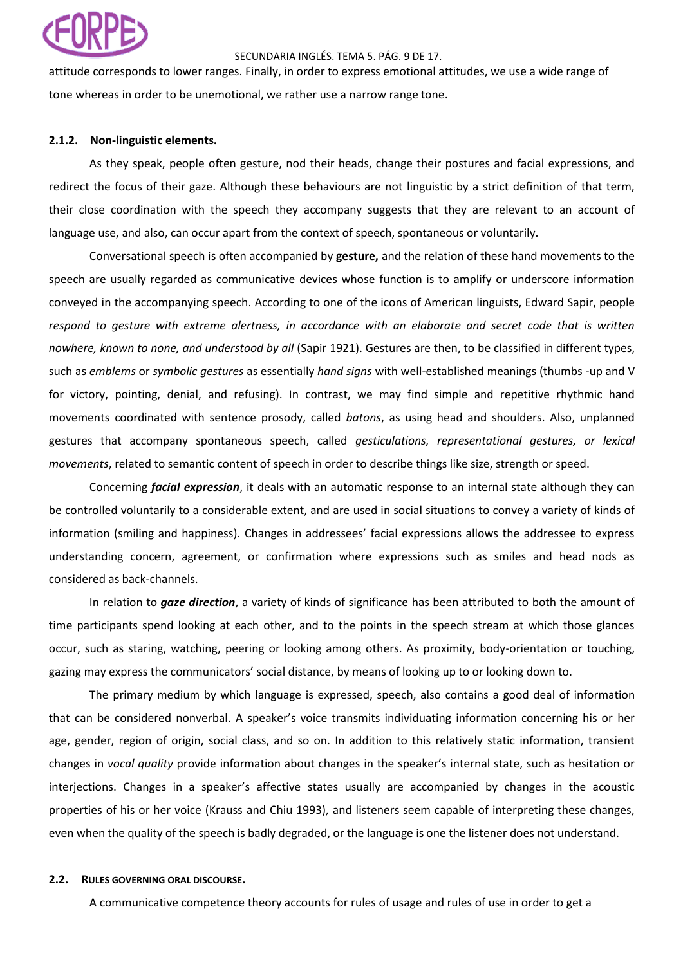

### SECUNDARIA INGLÉS. TEMA 5. PÁG. 9 DE 17.

attitude corresponds to lower ranges. Finally, in order to express emotional attitudes, we use a wide range of tone whereas in order to be unemotional, we rather use a narrow range tone.

## **2.1.2. Non-linguistic elements.**

As they speak, people often gesture, nod their heads, change their postures and facial expressions, and redirect the focus of their gaze. Although these behaviours are not linguistic by a strict definition of that term, their close coordination with the speech they accompany suggests that they are relevant to an account of language use, and also, can occur apart from the context of speech, spontaneous or voluntarily.

Conversational speech is often accompanied by **gesture,** and the relation of these hand movements to the speech are usually regarded as communicative devices whose function is to amplify or underscore information conveyed in the accompanying speech. According to one of the icons of American linguists, Edward Sapir, people *respond to gesture with extreme alertness, in accordance with an elaborate and secret code that is written nowhere, known to none, and understood by all* (Sapir 1921). Gestures are then, to be classified in different types, such as *emblems* or *symbolic gestures* as essentially *hand signs* with well-established meanings (thumbs -up and V for victory, pointing, denial, and refusing). In contrast, we may find simple and repetitive rhythmic hand movements coordinated with sentence prosody, called *batons*, as using head and shoulders. Also, unplanned gestures that accompany spontaneous speech, called *gesticulations, representational gestures, or lexical movements*, related to semantic content of speech in order to describe things like size, strength or speed.

Concerning *facial expression*, it deals with an automatic response to an internal state although they can be controlled voluntarily to a considerable extent, and are used in social situations to convey a variety of kinds of information (smiling and happiness). Changes in addressees' facial expressions allows the addressee to express understanding concern, agreement, or confirmation where expressions such as smiles and head nods as considered as back-channels.

In relation to *gaze direction*, a variety of kinds of significance has been attributed to both the amount of time participants spend looking at each other, and to the points in the speech stream at which those glances occur, such as staring, watching, peering or looking among others. As proximity, body-orientation or touching, gazing may express the communicators' social distance, by means of looking up to or looking down to.

The primary medium by which language is expressed, speech, also contains a good deal of information that can be considered nonverbal. A speaker's voice transmits individuating information concerning his or her age, gender, region of origin, social class, and so on. In addition to this relatively static information, transient changes in *vocal quality* provide information about changes in the speaker's internal state, such as hesitation or interjections. Changes in a speaker's affective states usually are accompanied by changes in the acoustic properties of his or her voice (Krauss and Chiu 1993), and listeners seem capable of interpreting these changes, even when the quality of the speech is badly degraded, or the language is one the listener does not understand.

## **2.2. RULES GOVERNING ORAL DISCOURSE.**

A communicative competence theory accounts for rules of usage and rules of use in order to get a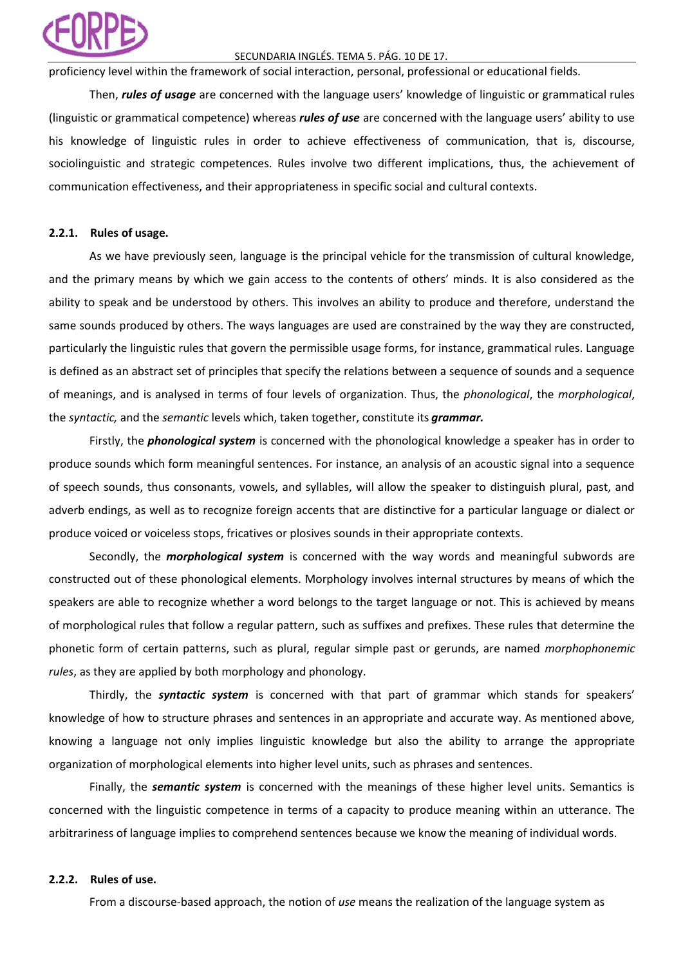## SECUNDARIA INGLÉS. TEMA 5. PÁG. 10 DE 17.

proficiency level within the framework of social interaction, personal, professional or educational fields.

Then, *rules of usage* are concerned with the language users' knowledge of linguistic or grammatical rules (linguistic or grammatical competence) whereas *rules of use* are concerned with the language users' ability to use his knowledge of linguistic rules in order to achieve effectiveness of communication, that is, discourse, sociolinguistic and strategic competences. Rules involve two different implications, thus, the achievement of communication effectiveness, and their appropriateness in specific social and cultural contexts.

# **2.2.1. Rules of usage.**

As we have previously seen, language is the principal vehicle for the transmission of cultural knowledge, and the primary means by which we gain access to the contents of others' minds. It is also considered as the ability to speak and be understood by others. This involves an ability to produce and therefore, understand the same sounds produced by others. The ways languages are used are constrained by the way they are constructed, particularly the linguistic rules that govern the permissible usage forms, for instance, grammatical rules. Language is defined as an abstract set of principles that specify the relations between a sequence of sounds and a sequence of meanings, and is analysed in terms of four levels of organization. Thus, the *phonological*, the *morphological*, the *syntactic,* and the *semantic* levels which, taken together, constitute its *grammar.*

Firstly, the *phonological system* is concerned with the phonological knowledge a speaker has in order to produce sounds which form meaningful sentences. For instance, an analysis of an acoustic signal into a sequence of speech sounds, thus consonants, vowels, and syllables, will allow the speaker to distinguish plural, past, and adverb endings, as well as to recognize foreign accents that are distinctive for a particular language or dialect or produce voiced or voiceless stops, fricatives or plosives sounds in their appropriate contexts.

Secondly, the *morphological system* is concerned with the way words and meaningful subwords are constructed out of these phonological elements. Morphology involves internal structures by means of which the speakers are able to recognize whether a word belongs to the target language or not. This is achieved by means of morphological rules that follow a regular pattern, such as suffixes and prefixes. These rules that determine the phonetic form of certain patterns, such as plural, regular simple past or gerunds, are named *morphophonemic rules*, as they are applied by both morphology and phonology.

Thirdly, the *syntactic system* is concerned with that part of grammar which stands for speakers' knowledge of how to structure phrases and sentences in an appropriate and accurate way. As mentioned above, knowing a language not only implies linguistic knowledge but also the ability to arrange the appropriate organization of morphological elements into higher level units, such as phrases and sentences.

Finally, the *semantic system* is concerned with the meanings of these higher level units. Semantics is concerned with the linguistic competence in terms of a capacity to produce meaning within an utterance. The arbitrariness of language implies to comprehend sentences because we know the meaning of individual words.

### **2.2.2. Rules of use.**

From a discourse-based approach, the notion of *use* means the realization of the language system as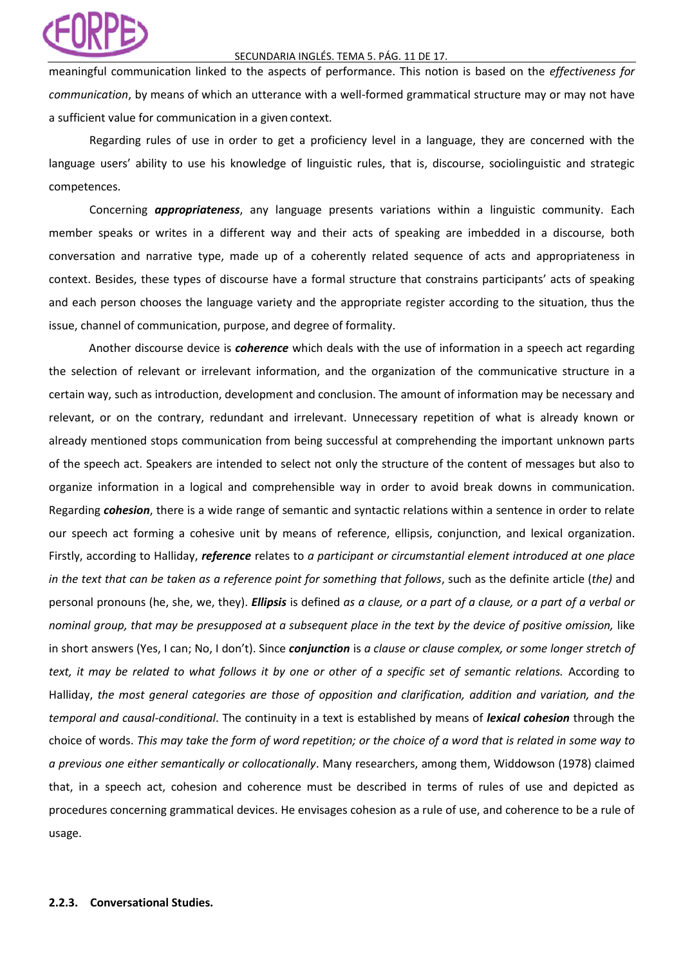# SECUNDARIA INGLÉS. TEMA 5. PÁG. 11 DE 17.

meaningful communication linked to the aspects of performance. This notion is based on the *effectiveness for communication*, by means of which an utterance with a well-formed grammatical structure may or may not have a sufficient value for communication in a given context.

Regarding rules of use in order to get a proficiency level in a language, they are concerned with the language users' ability to use his knowledge of linguistic rules, that is, discourse, sociolinguistic and strategic competences.

Concerning *appropriateness*, any language presents variations within a linguistic community. Each member speaks or writes in a different way and their acts of speaking are imbedded in a discourse, both conversation and narrative type, made up of a coherently related sequence of acts and appropriateness in context. Besides, these types of discourse have a formal structure that constrains participants' acts of speaking and each person chooses the language variety and the appropriate register according to the situation, thus the issue, channel of communication, purpose, and degree of formality.

Another discourse device is *coherence* which deals with the use of information in a speech act regarding the selection of relevant or irrelevant information, and the organization of the communicative structure in a certain way, such as introduction, development and conclusion. The amount of information may be necessary and relevant, or on the contrary, redundant and irrelevant. Unnecessary repetition of what is already known or already mentioned stops communication from being successful at comprehending the important unknown parts of the speech act. Speakers are intended to select not only the structure of the content of messages but also to organize information in a logical and comprehensible way in order to avoid break downs in communication. Regarding *cohesion*, there is a wide range of semantic and syntactic relations within a sentence in order to relate our speech act forming a cohesive unit by means of reference, ellipsis, conjunction, and lexical organization. Firstly, according to Halliday, *reference* relates to *a participant or circumstantial element introduced at one place in the text that can be taken as a reference point for something that follows*, such as the definite article (*the)* and personal pronouns (he, she, we, they). *Ellipsis* is defined *as a clause, or a part of a clause, or a part of a verbal or nominal group, that may be presupposed at a subsequent place in the text by the device of positive omission,* like in short answers (Yes, I can; No, I don't). Since *conjunction* is *a clause or clause complex, or some longer stretch of text, it may be related to what follows it by one or other of a specific set of semantic relations.* According to Halliday, *the most general categories are those of opposition and clarification, addition and variation, and the temporal and causal-conditional*. The continuity in a text is established by means of *lexical cohesion* through the choice of words. *This may take the form of word repetition; or the choice of a word that is related in some way to a previous one either semantically or collocationally*. Many researchers, among them, Widdowson (1978) claimed that, in a speech act, cohesion and coherence must be described in terms of rules of use and depicted as procedures concerning grammatical devices. He envisages cohesion as a rule of use, and coherence to be a rule of usage.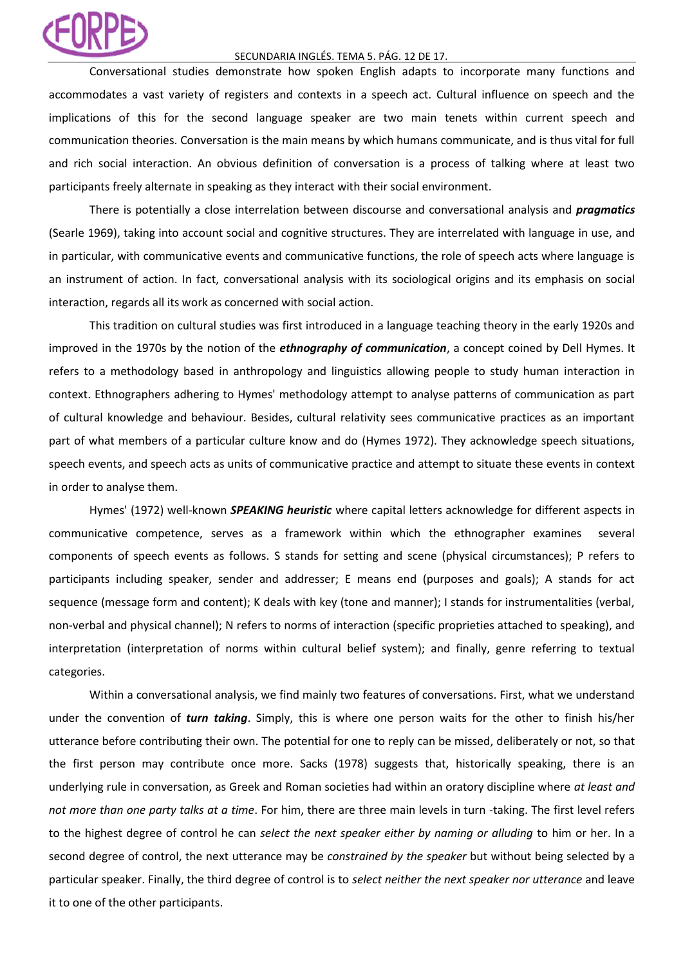### SECUNDARIA INGLÉS. TEMA 5. PÁG. 12 DE 17.

Conversational studies demonstrate how spoken English adapts to incorporate many functions and accommodates a vast variety of registers and contexts in a speech act. Cultural influence on speech and the implications of this for the second language speaker are two main tenets within current speech and communication theories. Conversation is the main means by which humans communicate, and is thus vital for full and rich social interaction. An obvious definition of conversation is a process of talking where at least two participants freely alternate in speaking as they interact with their social environment.

There is potentially a close interrelation between discourse and conversational analysis and *pragmatics*  (Searle 1969), taking into account social and cognitive structures. They are interrelated with language in use, and in particular, with communicative events and communicative functions, the role of speech acts where language is an instrument of action. In fact, conversational analysis with its sociological origins and its emphasis on social interaction, regards all its work as concerned with social action.

This tradition on cultural studies was first introduced in a language teaching theory in the early 1920s and improved in the 1970s by the notion of the *ethnography of communication*, a concept coined by Dell Hymes. It refers to a methodology based in anthropology and linguistics allowing people to study human interaction in context. Ethnographers adhering to Hymes' methodology attempt to analyse patterns of communication as part of cultural knowledge and behaviour. Besides, cultural relativity sees communicative practices as an important part of what members of a particular culture know and do (Hymes 1972). They acknowledge speech situations, speech events, and speech acts as units of communicative practice and attempt to situate these events in context in order to analyse them.

Hymes' (1972) well-known *SPEAKING heuristic* where capital letters acknowledge for different aspects in communicative competence, serves as a framework within which the ethnographer examines several components of speech events as follows. S stands for setting and scene (physical circumstances); P refers to participants including speaker, sender and addresser; E means end (purposes and goals); A stands for act sequence (message form and content); K deals with key (tone and manner); I stands for instrumentalities (verbal, non-verbal and physical channel); N refers to norms of interaction (specific proprieties attached to speaking), and interpretation (interpretation of norms within cultural belief system); and finally, genre referring to textual categories.

Within a conversational analysis, we find mainly two features of conversations. First, what we understand under the convention of *turn taking*. Simply, this is where one person waits for the other to finish his/her utterance before contributing their own. The potential for one to reply can be missed, deliberately or not, so that the first person may contribute once more. Sacks (1978) suggests that, historically speaking, there is an underlying rule in conversation, as Greek and Roman societies had within an oratory discipline where *at least and not more than one party talks at a time*. For him, there are three main levels in turn -taking. The first level refers to the highest degree of control he can *select the next speaker either by naming or alluding* to him or her. In a second degree of control, the next utterance may be *constrained by the speaker* but without being selected by a particular speaker. Finally, the third degree of control is to *select neither the next speaker nor utterance* and leave it to one of the other participants.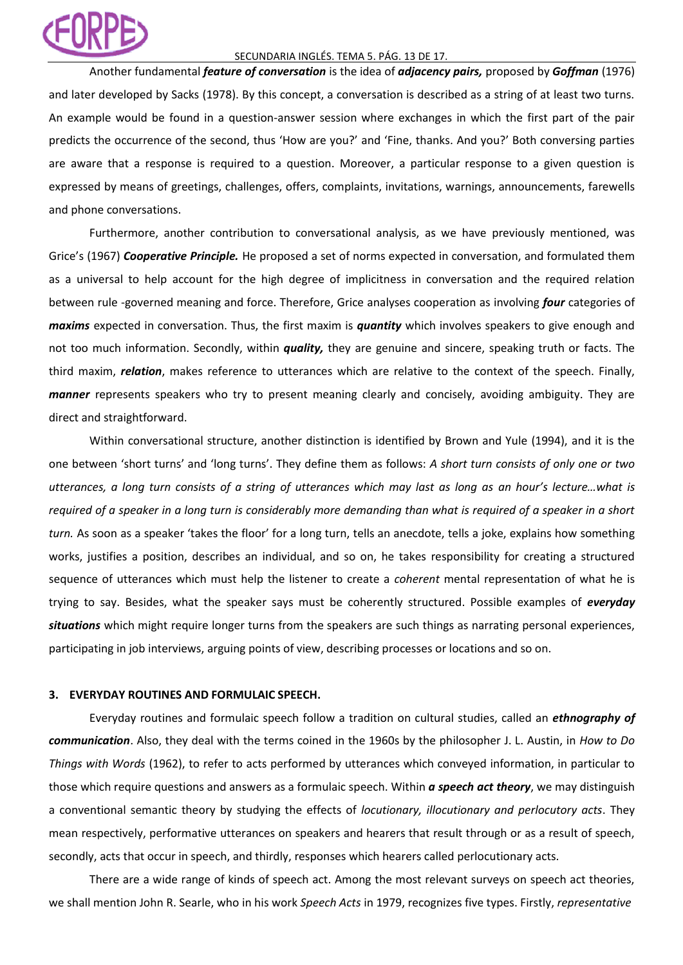## SECUNDARIA INGLÉS. TEMA 5. PÁG. 13 DE 17.

Another fundamental *feature of conversation* is the idea of *adjacency pairs,* proposed by *Goffman* (1976) and later developed by Sacks (1978). By this concept, a conversation is described as a string of at least two turns. An example would be found in a question-answer session where exchanges in which the first part of the pair predicts the occurrence of the second, thus 'How are you?' and 'Fine, thanks. And you?' Both conversing parties are aware that a response is required to a question. Moreover, a particular response to a given question is expressed by means of greetings, challenges, offers, complaints, invitations, warnings, announcements, farewells and phone conversations.

Furthermore, another contribution to conversational analysis, as we have previously mentioned, was Grice's (1967) *Cooperative Principle.* He proposed a set of norms expected in conversation, and formulated them as a universal to help account for the high degree of implicitness in conversation and the required relation between rule -governed meaning and force. Therefore, Grice analyses cooperation as involving *four* categories of *maxims* expected in conversation. Thus, the first maxim is *quantity* which involves speakers to give enough and not too much information. Secondly, within *quality,* they are genuine and sincere, speaking truth or facts. The third maxim, *relation*, makes reference to utterances which are relative to the context of the speech. Finally, *manner* represents speakers who try to present meaning clearly and concisely, avoiding ambiguity. They are direct and straightforward.

Within conversational structure, another distinction is identified by Brown and Yule (1994), and it is the one between 'short turns' and 'long turns'. They define them as follows: *A short turn consists of only one or two utterances, a long turn consists of a string of utterances which may last as long as an hour's lecture…what is required of a speaker in a long turn is considerably more demanding than what is required of a speaker in a short turn.* As soon as a speaker 'takes the floor' for a long turn, tells an anecdote, tells a joke, explains how something works, justifies a position, describes an individual, and so on, he takes responsibility for creating a structured sequence of utterances which must help the listener to create a *coherent* mental representation of what he is trying to say. Besides, what the speaker says must be coherently structured. Possible examples of *everyday situations* which might require longer turns from the speakers are such things as narrating personal experiences, participating in job interviews, arguing points of view, describing processes or locations and so on.

# **3. EVERYDAY ROUTINES AND FORMULAIC SPEECH.**

Everyday routines and formulaic speech follow a tradition on cultural studies, called an *ethnography of communication*. Also, they deal with the terms coined in the 1960s by the philosopher J. L. Austin, in *How to Do Things with Words* (1962), to refer to acts performed by utterances which conveyed information, in particular to those which require questions and answers as a formulaic speech. Within *a speech act theory*, we may distinguish a conventional semantic theory by studying the effects of *locutionary, illocutionary and perlocutory acts*. They mean respectively, performative utterances on speakers and hearers that result through or as a result of speech, secondly, acts that occur in speech, and thirdly, responses which hearers called perlocutionary acts.

There are a wide range of kinds of speech act. Among the most relevant surveys on speech act theories, we shall mention John R. Searle, who in his work *Speech Acts* in 1979, recognizes five types. Firstly, *representative*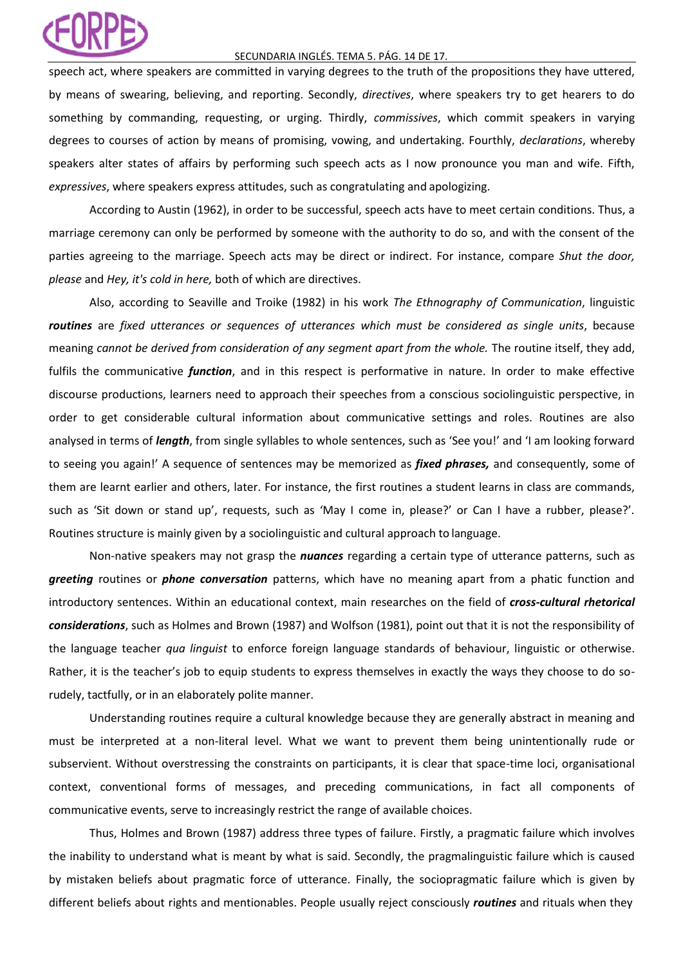### SECUNDARIA INGLÉS. TEMA 5. PÁG. 14 DE 17.

speech act, where speakers are committed in varying degrees to the truth of the propositions they have uttered, by means of swearing, believing, and reporting. Secondly, *directives*, where speakers try to get hearers to do something by commanding, requesting, or urging. Thirdly, *commissives*, which commit speakers in varying degrees to courses of action by means of promising, vowing, and undertaking. Fourthly, *declarations*, whereby speakers alter states of affairs by performing such speech acts as I now pronounce you man and wife. Fifth, *expressives*, where speakers express attitudes, such as congratulating and apologizing.

According to Austin (1962), in order to be successful, speech acts have to meet certain conditions. Thus, a marriage ceremony can only be performed by someone with the authority to do so, and with the consent of the parties agreeing to the marriage. Speech acts may be direct or indirect. For instance, compare *Shut the door, please* and *Hey, it's cold in here,* both of which are directives.

Also, according to Seaville and Troike (1982) in his work *The Ethnography of Communication*, linguistic *routines* are *fixed utterances or sequences of utterances which must be considered as single units*, because meaning *cannot be derived from consideration of any segment apart from the whole.* The routine itself, they add, fulfils the communicative *function*, and in this respect is performative in nature. In order to make effective discourse productions, learners need to approach their speeches from a conscious sociolinguistic perspective, in order to get considerable cultural information about communicative settings and roles. Routines are also analysed in terms of *length*, from single syllables to whole sentences, such as 'See you!' and 'I am looking forward to seeing you again!' A sequence of sentences may be memorized as *fixed phrases,* and consequently, some of them are learnt earlier and others, later. For instance, the first routines a student learns in class are commands, such as 'Sit down or stand up', requests, such as 'May I come in, please?' or Can I have a rubber, please?'. Routines structure is mainly given by a sociolinguistic and cultural approach to language.

Non-native speakers may not grasp the *nuances* regarding a certain type of utterance patterns, such as *greeting* routines or *phone conversation* patterns, which have no meaning apart from a phatic function and introductory sentences. Within an educational context, main researches on the field of *cross-cultural rhetorical considerations*, such as Holmes and Brown (1987) and Wolfson (1981), point out that it is not the responsibility of the language teacher *qua linguist* to enforce foreign language standards of behaviour, linguistic or otherwise. Rather, it is the teacher's job to equip students to express themselves in exactly the ways they choose to do sorudely, tactfully, or in an elaborately polite manner.

Understanding routines require a cultural knowledge because they are generally abstract in meaning and must be interpreted at a non-literal level. What we want to prevent them being unintentionally rude or subservient. Without overstressing the constraints on participants, it is clear that space-time loci, organisational context, conventional forms of messages, and preceding communications, in fact all components of communicative events, serve to increasingly restrict the range of available choices.

Thus, Holmes and Brown (1987) address three types of failure. Firstly, a pragmatic failure which involves the inability to understand what is meant by what is said. Secondly, the pragmalinguistic failure which is caused by mistaken beliefs about pragmatic force of utterance. Finally, the sociopragmatic failure which is given by different beliefs about rights and mentionables. People usually reject consciously *routines* and rituals when they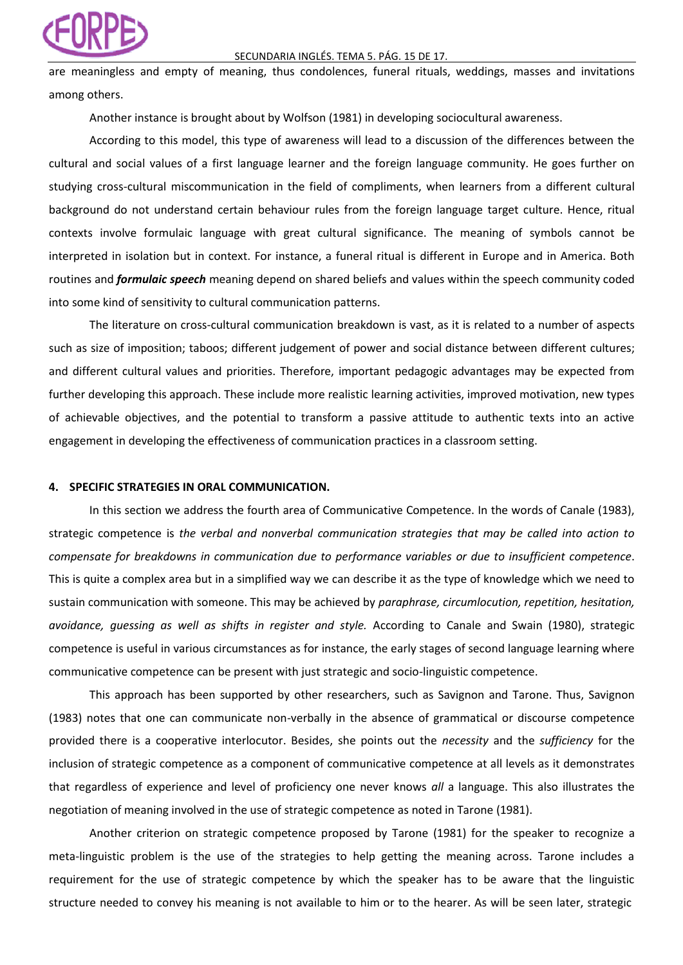### SECUNDARIA INGLÉS. TEMA 5. PÁG. 15 DE 17.

are meaningless and empty of meaning, thus condolences, funeral rituals, weddings, masses and invitations among others.

Another instance is brought about by Wolfson (1981) in developing sociocultural awareness.

According to this model, this type of awareness will lead to a discussion of the differences between the cultural and social values of a first language learner and the foreign language community. He goes further on studying cross-cultural miscommunication in the field of compliments, when learners from a different cultural background do not understand certain behaviour rules from the foreign language target culture. Hence, ritual contexts involve formulaic language with great cultural significance. The meaning of symbols cannot be interpreted in isolation but in context. For instance, a funeral ritual is different in Europe and in America. Both routines and *formulaic speech* meaning depend on shared beliefs and values within the speech community coded into some kind of sensitivity to cultural communication patterns.

The literature on cross-cultural communication breakdown is vast, as it is related to a number of aspects such as size of imposition; taboos; different judgement of power and social distance between different cultures; and different cultural values and priorities. Therefore, important pedagogic advantages may be expected from further developing this approach. These include more realistic learning activities, improved motivation, new types of achievable objectives, and the potential to transform a passive attitude to authentic texts into an active engagement in developing the effectiveness of communication practices in a classroom setting.

### **4. SPECIFIC STRATEGIES IN ORAL COMMUNICATION.**

In this section we address the fourth area of Communicative Competence. In the words of Canale (1983), strategic competence is *the verbal and nonverbal communication strategies that may be called into action to compensate for breakdowns in communication due to performance variables or due to insufficient competence*. This is quite a complex area but in a simplified way we can describe it as the type of knowledge which we need to sustain communication with someone. This may be achieved by *paraphrase, circumlocution, repetition, hesitation, avoidance, guessing as well as shifts in register and style.* According to Canale and Swain (1980), strategic competence is useful in various circumstances as for instance, the early stages of second language learning where communicative competence can be present with just strategic and socio-linguistic competence.

This approach has been supported by other researchers, such as Savignon and Tarone. Thus, Savignon (1983) notes that one can communicate non-verbally in the absence of grammatical or discourse competence provided there is a cooperative interlocutor. Besides, she points out the *necessity* and the *sufficiency* for the inclusion of strategic competence as a component of communicative competence at all levels as it demonstrates that regardless of experience and level of proficiency one never knows *all* a language. This also illustrates the negotiation of meaning involved in the use of strategic competence as noted in Tarone (1981).

Another criterion on strategic competence proposed by Tarone (1981) for the speaker to recognize a meta-linguistic problem is the use of the strategies to help getting the meaning across. Tarone includes a requirement for the use of strategic competence by which the speaker has to be aware that the linguistic structure needed to convey his meaning is not available to him or to the hearer. As will be seen later, strategic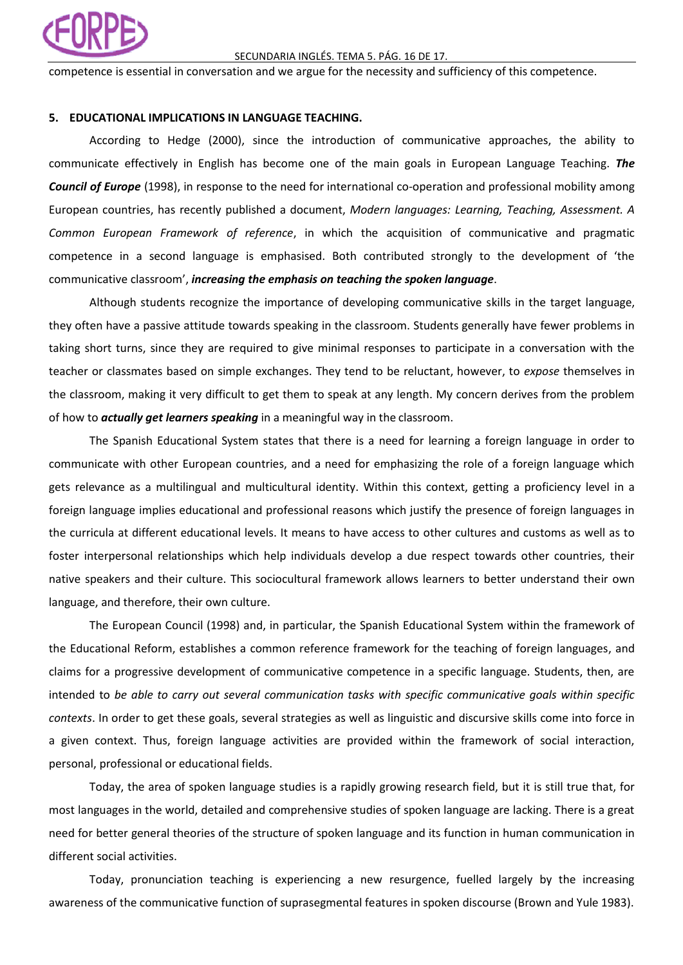

### SECUNDARIA INGLÉS. TEMA 5. PÁG. 16 DE 17.

competence is essential in conversation and we argue for the necessity and sufficiency of this competence.

### **5. EDUCATIONAL IMPLICATIONS IN LANGUAGE TEACHING.**

According to Hedge (2000), since the introduction of communicative approaches, the ability to communicate effectively in English has become one of the main goals in European Language Teaching. *The Council of Europe* (1998), in response to the need for international co-operation and professional mobility among European countries, has recently published a document, *Modern languages: Learning, Teaching, Assessment. A Common European Framework of reference*, in which the acquisition of communicative and pragmatic competence in a second language is emphasised. Both contributed strongly to the development of 'the communicative classroom', *increasing the emphasis on teaching the spoken language*.

Although students recognize the importance of developing communicative skills in the target language, they often have a passive attitude towards speaking in the classroom. Students generally have fewer problems in taking short turns, since they are required to give minimal responses to participate in a conversation with the teacher or classmates based on simple exchanges. They tend to be reluctant, however, to *expose* themselves in the classroom, making it very difficult to get them to speak at any length. My concern derives from the problem of how to *actually get learners speaking* in a meaningful way in the classroom.

The Spanish Educational System states that there is a need for learning a foreign language in order to communicate with other European countries, and a need for emphasizing the role of a foreign language which gets relevance as a multilingual and multicultural identity. Within this context, getting a proficiency level in a foreign language implies educational and professional reasons which justify the presence of foreign languages in the curricula at different educational levels. It means to have access to other cultures and customs as well as to foster interpersonal relationships which help individuals develop a due respect towards other countries, their native speakers and their culture. This sociocultural framework allows learners to better understand their own language, and therefore, their own culture.

The European Council (1998) and, in particular, the Spanish Educational System within the framework of the Educational Reform, establishes a common reference framework for the teaching of foreign languages, and claims for a progressive development of communicative competence in a specific language. Students, then, are intended to *be able to carry out several communication tasks with specific communicative goals within specific contexts*. In order to get these goals, several strategies as well as linguistic and discursive skills come into force in a given context. Thus, foreign language activities are provided within the framework of social interaction, personal, professional or educational fields.

Today, the area of spoken language studies is a rapidly growing research field, but it is still true that, for most languages in the world, detailed and comprehensive studies of spoken language are lacking. There is a great need for better general theories of the structure of spoken language and its function in human communication in different social activities.

Today, pronunciation teaching is experiencing a new resurgence, fuelled largely by the increasing awareness of the communicative function of suprasegmental features in spoken discourse (Brown and Yule 1983).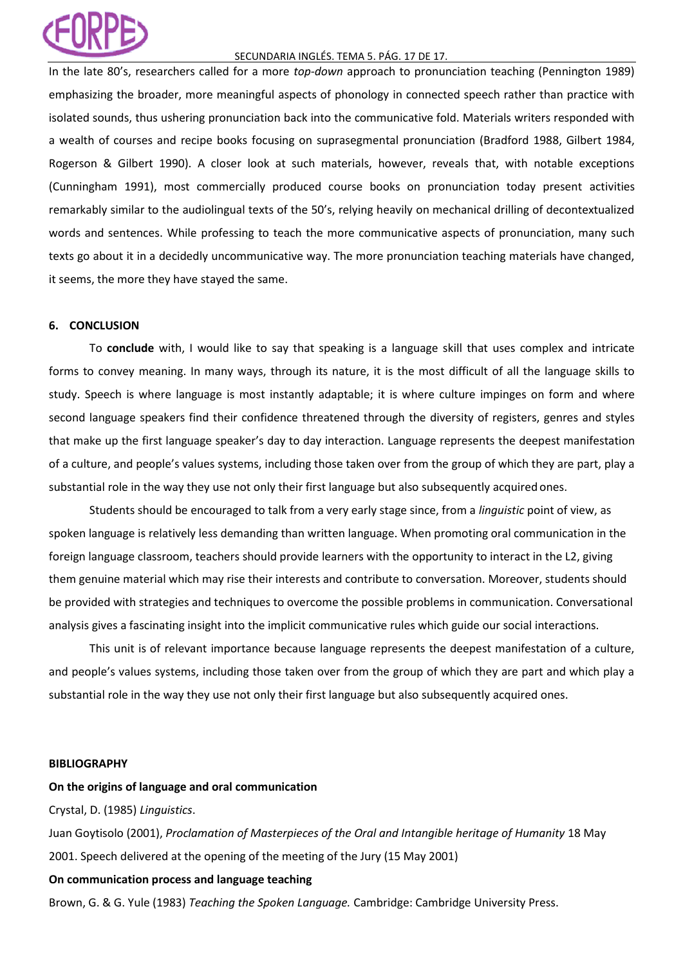## SECUNDARIA INGLÉS. TEMA 5. PÁG. 17 DE 17.

In the late 80's, researchers called for a more *top-down* approach to pronunciation teaching (Pennington 1989) emphasizing the broader, more meaningful aspects of phonology in connected speech rather than practice with isolated sounds, thus ushering pronunciation back into the communicative fold. Materials writers responded with a wealth of courses and recipe books focusing on suprasegmental pronunciation (Bradford 1988, Gilbert 1984, Rogerson & Gilbert 1990). A closer look at such materials, however, reveals that, with notable exceptions (Cunningham 1991), most commercially produced course books on pronunciation today present activities remarkably similar to the audiolingual texts of the 50's, relying heavily on mechanical drilling of decontextualized words and sentences. While professing to teach the more communicative aspects of pronunciation, many such texts go about it in a decidedly uncommunicative way. The more pronunciation teaching materials have changed, it seems, the more they have stayed the same.

# **6. CONCLUSION**

To **conclude** with, I would like to say that speaking is a language skill that uses complex and intricate forms to convey meaning. In many ways, through its nature, it is the most difficult of all the language skills to study. Speech is where language is most instantly adaptable; it is where culture impinges on form and where second language speakers find their confidence threatened through the diversity of registers, genres and styles that make up the first language speaker's day to day interaction. Language represents the deepest manifestation of a culture, and people's values systems, including those taken over from the group of which they are part, play a substantial role in the way they use not only their first language but also subsequently acquired ones.

Students should be encouraged to talk from a very early stage since, from a *linguistic* point of view, as spoken language is relatively less demanding than written language. When promoting oral communication in the foreign language classroom, teachers should provide learners with the opportunity to interact in the L2, giving them genuine material which may rise their interests and contribute to conversation. Moreover, students should be provided with strategies and techniques to overcome the possible problems in communication. Conversational analysis gives a fascinating insight into the implicit communicative rules which guide our social interactions.

This unit is of relevant importance because language represents the deepest manifestation of a culture, and people's values systems, including those taken over from the group of which they are part and which play a substantial role in the way they use not only their first language but also subsequently acquired ones.

### **BIBLIOGRAPHY**

# **On the origins of language and oral communication**

Crystal, D. (1985) *Linguistics*.

Juan Goytisolo (2001), *Proclamation of Masterpieces of the Oral and Intangible heritage of Humanity* 18 May 2001. Speech delivered at the opening of the meeting of the Jury (15 May 2001)

# **On communication process and language teaching**

Brown, G. & G. Yule (1983) *Teaching the Spoken Language.* Cambridge: Cambridge University Press.